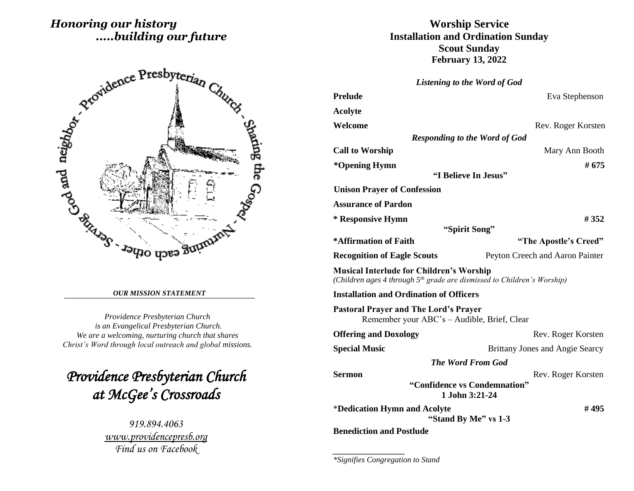# *Honoring our history .....building our future*



#### *OUR MISSION STATEMENT*

*Providence Presbyterian Church is an Evangelical Presbyterian Church. We are a welcoming, nurturing church that shares Christ's Word through local outreach and global missions.*

*Providence Presbyterian Church at McGee's Crossroads* 

> *919.894.4063 [www.providencepresb.org](http://www.providencepresb.org/) Find us on Facebook*

## **Worship Service Installation and Ordination Sunday Scout Sunday February 13, 2022**

*Listening to the Word of God*

| Eva Stephenson                                                                      |  |
|-------------------------------------------------------------------------------------|--|
|                                                                                     |  |
| Rev. Roger Korsten                                                                  |  |
| <b>Responding to the Word of God</b>                                                |  |
| Mary Ann Booth                                                                      |  |
| # 675                                                                               |  |
|                                                                                     |  |
|                                                                                     |  |
|                                                                                     |  |
| #352                                                                                |  |
|                                                                                     |  |
| "The Apostle's Creed"                                                               |  |
| Peyton Creech and Aaron Painter                                                     |  |
| (Children ages 4 through 5 <sup>th</sup> grade are dismissed to Children's Worship) |  |
|                                                                                     |  |
| Remember your ABC's - Audible, Brief, Clear                                         |  |
| Rev. Roger Korsten                                                                  |  |
| Brittany Jones and Angie Searcy                                                     |  |
|                                                                                     |  |
| Rev. Roger Korsten                                                                  |  |
| "Confidence vs Condemnation"                                                        |  |
| #495<br>"Stand By Me" vs 1-3                                                        |  |
|                                                                                     |  |

**Benediction and Postlude**

*\_\_\_\_\_\_\_\_\_\_\_\_\_\_\_\_\_\_*

*\*Signifies Congregation to Stand*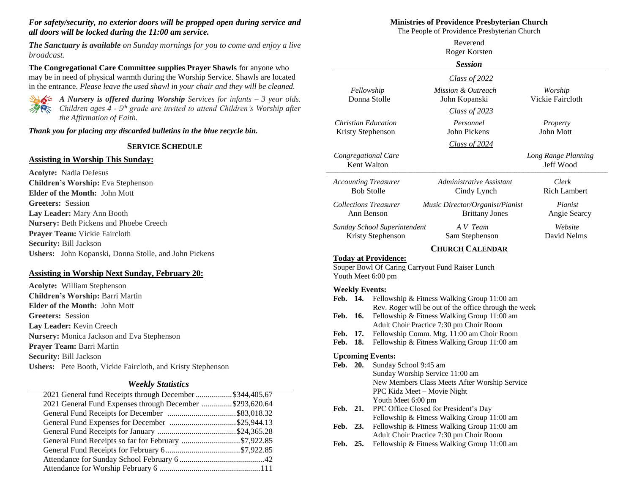#### *For safety/security, no exterior doors will be propped open during service and all doors will be locked during the 11:00 am service.*

*The Sanctuary is available on Sunday mornings for you to come and enjoy a live broadcast.*

**The Congregational Care Committee supplies Prayer Shawls** for anyone who may be in need of physical warmth during the Worship Service. Shawls are located in the entrance. *Please leave the used shawl in your chair and they will be cleaned.*



*A Nursery is offered during Worship Services for infants – 3 year olds. Children ages 4 - 5 th grade are invited to attend Children's Worship after the Affirmation of Faith.*

*Thank you for placing any discarded bulletins in the blue recycle bin.*

#### **SERVICE SCHEDULE**

#### **Assisting in Worship This Sunday:**

**Acolyte:** Nadia DeJesus **Children's Worship:** Eva Stephenson **Elder of the Month:** John Mott **Greeters:** Session **Lay Leader:** Mary Ann Booth **Nursery:** Beth Pickens and Phoebe Creech **Prayer Team:** Vickie Faircloth **Security:** Bill Jackson **Ushers:** John Kopanski, Donna Stolle, and John Pickens

#### **Assisting in Worship Next Sunday, February 20:**

**Acolyte:** William Stephenson **Children's Worship:** Barri Martin **Elder of the Month:** John Mott **Greeters:** Session **Lay Leader:** Kevin Creech **Nursery:** Monica Jackson and Eva Stephenson **Prayer Team:** Barri Martin **Security:** Bill Jackson **Ushers:** Pete Booth, Vickie Faircloth, and Kristy Stephenson

#### *Weekly Statistics*

| 2021 General fund Receipts through December \$344,405.67 |  |
|----------------------------------------------------------|--|
| 2021 General Fund Expenses through December \$293,620.64 |  |
|                                                          |  |
|                                                          |  |
|                                                          |  |
| General Fund Receipts so far for February \$7,922.85     |  |
|                                                          |  |
|                                                          |  |
|                                                          |  |
|                                                          |  |

#### **Ministries of Providence Presbyterian Church**

The People of Providence Presbyterian Church

|                                                   |            |                                                                                                                                                 | Reverend<br>Roger Korsten                                                    |                                  |  |  |
|---------------------------------------------------|------------|-------------------------------------------------------------------------------------------------------------------------------------------------|------------------------------------------------------------------------------|----------------------------------|--|--|
|                                                   |            |                                                                                                                                                 | <b>Session</b>                                                               |                                  |  |  |
|                                                   |            |                                                                                                                                                 | Class of 2022                                                                |                                  |  |  |
|                                                   | Fellowship | Donna Stolle                                                                                                                                    | Mission & Outreach<br>John Kopanski                                          | Worship<br>Vickie Faircloth      |  |  |
|                                                   |            |                                                                                                                                                 | <b>Class of 2023</b>                                                         |                                  |  |  |
| <b>Christian Education</b><br>Kristy Stephenson   |            |                                                                                                                                                 | Personnel<br>John Pickens                                                    | Property<br>John Mott            |  |  |
|                                                   |            |                                                                                                                                                 | Class of 2024                                                                |                                  |  |  |
| Congregational Care<br>Kent Walton                |            |                                                                                                                                                 |                                                                              | Long Range Planning<br>Jeff Wood |  |  |
| <b>Accounting Treasurer</b><br><b>Bob Stolle</b>  |            |                                                                                                                                                 | Administrative Assistant<br>Cindy Lynch                                      | Clerk<br><b>Rich Lambert</b>     |  |  |
| <b>Collections Treasurer</b><br>Ann Benson        |            |                                                                                                                                                 | Music Director/Organist/Pianist<br><b>Brittany Jones</b>                     | Pianist<br>Angie Searcy          |  |  |
| Sunday School Superintendent<br>Kristy Stephenson |            |                                                                                                                                                 | A V Team<br>Sam Stephenson                                                   | Website<br>David Nelms           |  |  |
|                                                   |            |                                                                                                                                                 | <b>CHURCH CALENDAR</b>                                                       |                                  |  |  |
|                                                   |            | <b>Today at Providence:</b><br>Youth Meet 6:00 pm                                                                                               | Souper Bowl Of Caring Carryout Fund Raiser Lunch                             |                                  |  |  |
| Feb. 14.                                          |            | <b>Weekly Events:</b>                                                                                                                           | Fellowship & Fitness Walking Group 11:00 am                                  |                                  |  |  |
| Feb.                                              | 16.        | Rev. Roger will be out of the office through the week<br>Fellowship & Fitness Walking Group 11:00 am<br>Adult Choir Practice 7:30 pm Choir Room |                                                                              |                                  |  |  |
| Feb.<br>Feb.                                      | 17.<br>18. | Fellowship Comm. Mtg. 11:00 am Choir Room<br>Fellowship & Fitness Walking Group 11:00 am                                                        |                                                                              |                                  |  |  |
|                                                   |            | <b>Upcoming Events:</b>                                                                                                                         |                                                                              |                                  |  |  |
| Feb.                                              | 20.        | Sunday School 9:45 am                                                                                                                           | Sunday Worship Service 11:00 am                                              |                                  |  |  |
|                                                   |            |                                                                                                                                                 | New Members Class Meets After Worship Service<br>PPC Kidz Meet - Movie Night |                                  |  |  |
| Feb. 21.                                          |            | Youth Meet 6:00 pm<br>PPC Office Closed for President's Day<br>Fellowship & Fitness Walking Group 11:00 am                                      |                                                                              |                                  |  |  |
| Feb.                                              | 23.        | Fellowship & Fitness Walking Group 11:00 am<br>Adult Choir Practice 7:30 pm Choir Room                                                          |                                                                              |                                  |  |  |
| Feb.                                              | 25.        | Fellowship & Fitness Walking Group 11:00 am                                                                                                     |                                                                              |                                  |  |  |
|                                                   |            |                                                                                                                                                 |                                                                              |                                  |  |  |